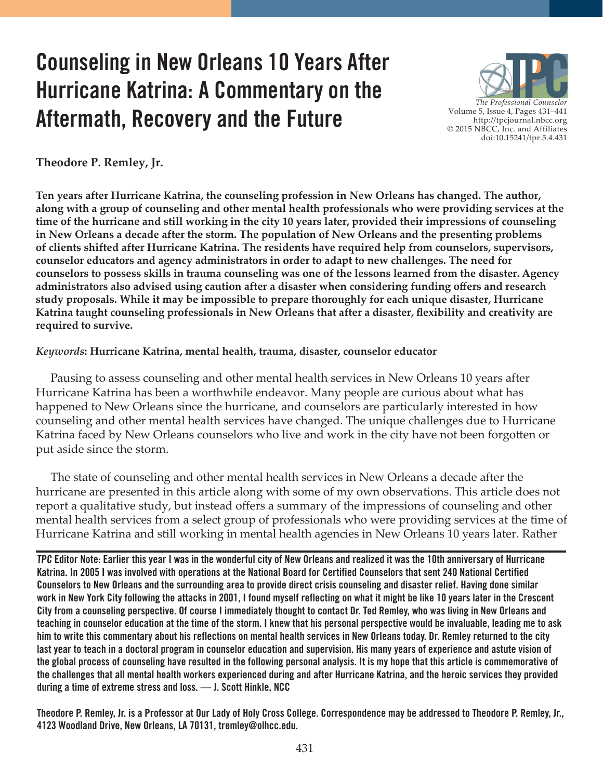# **Counseling in New Orleans 10 Years After Hurricane Katrina: A Commentary on the Aftermath, Recovery and the Future**



**Theodore P. Remley, Jr.**

**Ten years after Hurricane Katrina, the counseling profession in New Orleans has changed. The author, along with a group of counseling and other mental health professionals who were providing services at the time of the hurricane and still working in the city 10 years later, provided their impressions of counseling in New Orleans a decade after the storm. The population of New Orleans and the presenting problems of clients shifted after Hurricane Katrina. The residents have required help from counselors, supervisors, counselor educators and agency administrators in order to adapt to new challenges. The need for counselors to possess skills in trauma counseling was one of the lessons learned from the disaster. Agency administrators also advised using caution after a disaster when considering funding offers and research study proposals. While it may be impossible to prepare thoroughly for each unique disaster, Hurricane Katrina taught counseling professionals in New Orleans that after a disaster, flexibility and creativity are required to survive.**

#### *Keywords***: Hurricane Katrina, mental health, trauma, disaster, counselor educator**

 Pausing to assess counseling and other mental health services in New Orleans 10 years after Hurricane Katrina has been a worthwhile endeavor. Many people are curious about what has happened to New Orleans since the hurricane, and counselors are particularly interested in how counseling and other mental health services have changed. The unique challenges due to Hurricane Katrina faced by New Orleans counselors who live and work in the city have not been forgotten or put aside since the storm.

 The state of counseling and other mental health services in New Orleans a decade after the hurricane are presented in this article along with some of my own observations. This article does not report a qualitative study, but instead offers a summary of the impressions of counseling and other mental health services from a select group of professionals who were providing services at the time of Hurricane Katrina and still working in mental health agencies in New Orleans 10 years later. Rather

**TPC Editor Note: Earlier this year I was in the wonderful city of New Orleans and realized it was the 10th anniversary of Hurricane Katrina. In 2005 I was involved with operations at the National Board for Certified Counselors that sent 240 National Certified Counselors to New Orleans and the surrounding area to provide direct crisis counseling and disaster relief. Having done similar work in New York City following the attacks in 2001, I found myself reflecting on what it might be like 10 years later in the Crescent City from a counseling perspective. Of course I immediately thought to contact Dr. Ted Remley, who was living in New Orleans and teaching in counselor education at the time of the storm. I knew that his personal perspective would be invaluable, leading me to ask him to write this commentary about his reflections on mental health services in New Orleans today. Dr. Remley returned to the city last year to teach in a doctoral program in counselor education and supervision. His many years of experience and astute vision of the global process of counseling have resulted in the following personal analysis. It is my hope that this article is commemorative of the challenges that all mental health workers experienced during and after Hurricane Katrina, and the heroic services they provided during a time of extreme stress and loss. — J. Scott Hinkle, NCC** 

**Theodore P. Remley, Jr. is a Professor at Our Lady of Holy Cross College. Correspondence may be addressed to Theodore P. Remley, Jr., 4123 Woodland Drive, New Orleans, LA 70131, tremley@olhcc.edu.**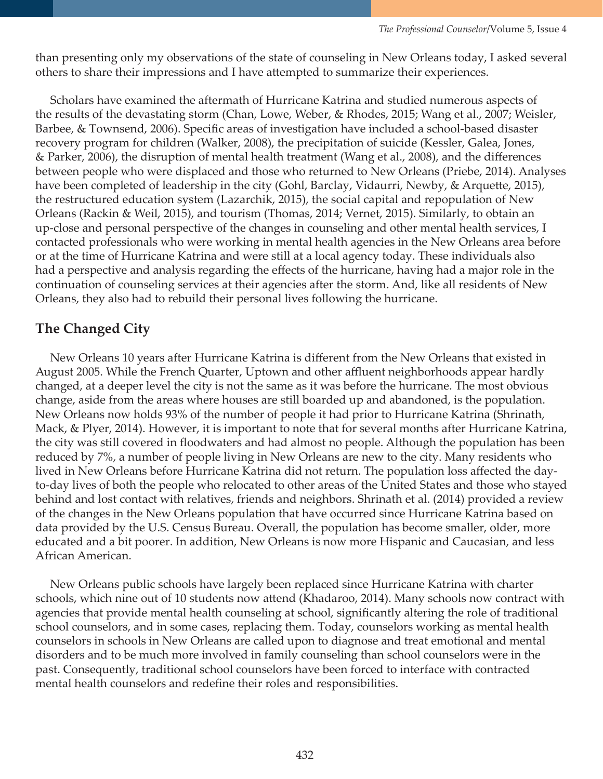than presenting only my observations of the state of counseling in New Orleans today, I asked several others to share their impressions and I have attempted to summarize their experiences.

 Scholars have examined the aftermath of Hurricane Katrina and studied numerous aspects of the results of the devastating storm (Chan, Lowe, Weber, & Rhodes, 2015; Wang et al., 2007; Weisler, Barbee, & Townsend, 2006). Specific areas of investigation have included a school-based disaster recovery program for children (Walker, 2008), the precipitation of suicide (Kessler, Galea, Jones, & Parker, 2006), the disruption of mental health treatment (Wang et al., 2008), and the differences between people who were displaced and those who returned to New Orleans (Priebe, 2014). Analyses have been completed of leadership in the city (Gohl, Barclay, Vidaurri, Newby, & Arquette, 2015), the restructured education system (Lazarchik, 2015), the social capital and repopulation of New Orleans (Rackin & Weil, 2015), and tourism (Thomas, 2014; Vernet, 2015). Similarly, to obtain an up-close and personal perspective of the changes in counseling and other mental health services, I contacted professionals who were working in mental health agencies in the New Orleans area before or at the time of Hurricane Katrina and were still at a local agency today. These individuals also had a perspective and analysis regarding the effects of the hurricane, having had a major role in the continuation of counseling services at their agencies after the storm. And, like all residents of New Orleans, they also had to rebuild their personal lives following the hurricane.

## **The Changed City**

 New Orleans 10 years after Hurricane Katrina is different from the New Orleans that existed in August 2005. While the French Quarter, Uptown and other affluent neighborhoods appear hardly changed, at a deeper level the city is not the same as it was before the hurricane. The most obvious change, aside from the areas where houses are still boarded up and abandoned, is the population. New Orleans now holds 93% of the number of people it had prior to Hurricane Katrina (Shrinath, Mack, & Plyer, 2014). However, it is important to note that for several months after Hurricane Katrina, the city was still covered in floodwaters and had almost no people. Although the population has been reduced by 7%, a number of people living in New Orleans are new to the city. Many residents who lived in New Orleans before Hurricane Katrina did not return. The population loss affected the dayto-day lives of both the people who relocated to other areas of the United States and those who stayed behind and lost contact with relatives, friends and neighbors. Shrinath et al. (2014) provided a review of the changes in the New Orleans population that have occurred since Hurricane Katrina based on data provided by the U.S. Census Bureau. Overall, the population has become smaller, older, more educated and a bit poorer. In addition, New Orleans is now more Hispanic and Caucasian, and less African American.

 New Orleans public schools have largely been replaced since Hurricane Katrina with charter schools, which nine out of 10 students now attend (Khadaroo, 2014). Many schools now contract with agencies that provide mental health counseling at school, significantly altering the role of traditional school counselors, and in some cases, replacing them. Today, counselors working as mental health counselors in schools in New Orleans are called upon to diagnose and treat emotional and mental disorders and to be much more involved in family counseling than school counselors were in the past. Consequently, traditional school counselors have been forced to interface with contracted mental health counselors and redefine their roles and responsibilities.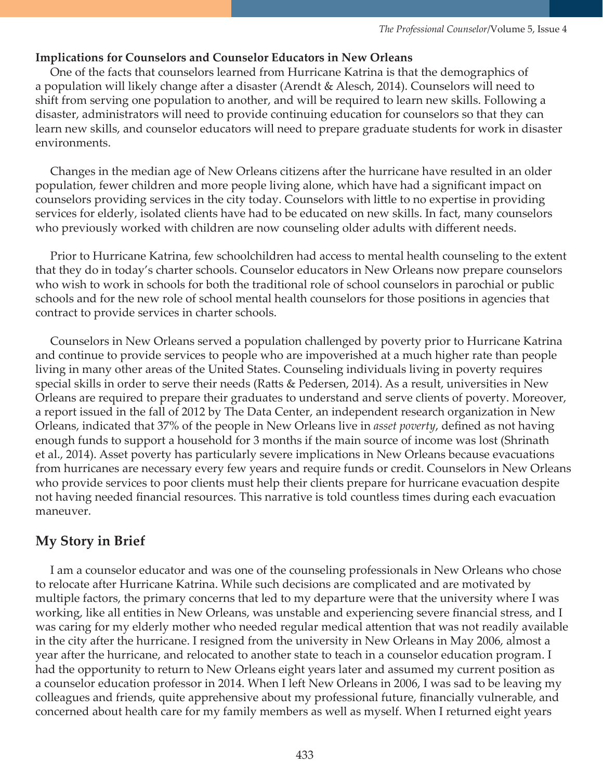#### **Implications for Counselors and Counselor Educators in New Orleans**

 One of the facts that counselors learned from Hurricane Katrina is that the demographics of a population will likely change after a disaster (Arendt & Alesch, 2014). Counselors will need to shift from serving one population to another, and will be required to learn new skills. Following a disaster, administrators will need to provide continuing education for counselors so that they can learn new skills, and counselor educators will need to prepare graduate students for work in disaster environments.

 Changes in the median age of New Orleans citizens after the hurricane have resulted in an older population, fewer children and more people living alone, which have had a significant impact on counselors providing services in the city today. Counselors with little to no expertise in providing services for elderly, isolated clients have had to be educated on new skills. In fact, many counselors who previously worked with children are now counseling older adults with different needs.

 Prior to Hurricane Katrina, few schoolchildren had access to mental health counseling to the extent that they do in today's charter schools. Counselor educators in New Orleans now prepare counselors who wish to work in schools for both the traditional role of school counselors in parochial or public schools and for the new role of school mental health counselors for those positions in agencies that contract to provide services in charter schools.

 Counselors in New Orleans served a population challenged by poverty prior to Hurricane Katrina and continue to provide services to people who are impoverished at a much higher rate than people living in many other areas of the United States. Counseling individuals living in poverty requires special skills in order to serve their needs (Ratts & Pedersen, 2014). As a result, universities in New Orleans are required to prepare their graduates to understand and serve clients of poverty. Moreover, a report issued in the fall of 2012 by The Data Center, an independent research organization in New Orleans, indicated that 37% of the people in New Orleans live in *asset poverty*, defined as not having enough funds to support a household for 3 months if the main source of income was lost (Shrinath et al., 2014). Asset poverty has particularly severe implications in New Orleans because evacuations from hurricanes are necessary every few years and require funds or credit. Counselors in New Orleans who provide services to poor clients must help their clients prepare for hurricane evacuation despite not having needed financial resources. This narrative is told countless times during each evacuation maneuver.

## **My Story in Brief**

 I am a counselor educator and was one of the counseling professionals in New Orleans who chose to relocate after Hurricane Katrina. While such decisions are complicated and are motivated by multiple factors, the primary concerns that led to my departure were that the university where I was working, like all entities in New Orleans, was unstable and experiencing severe financial stress, and I was caring for my elderly mother who needed regular medical attention that was not readily available in the city after the hurricane. I resigned from the university in New Orleans in May 2006, almost a year after the hurricane, and relocated to another state to teach in a counselor education program. I had the opportunity to return to New Orleans eight years later and assumed my current position as a counselor education professor in 2014. When I left New Orleans in 2006, I was sad to be leaving my colleagues and friends, quite apprehensive about my professional future, financially vulnerable, and concerned about health care for my family members as well as myself. When I returned eight years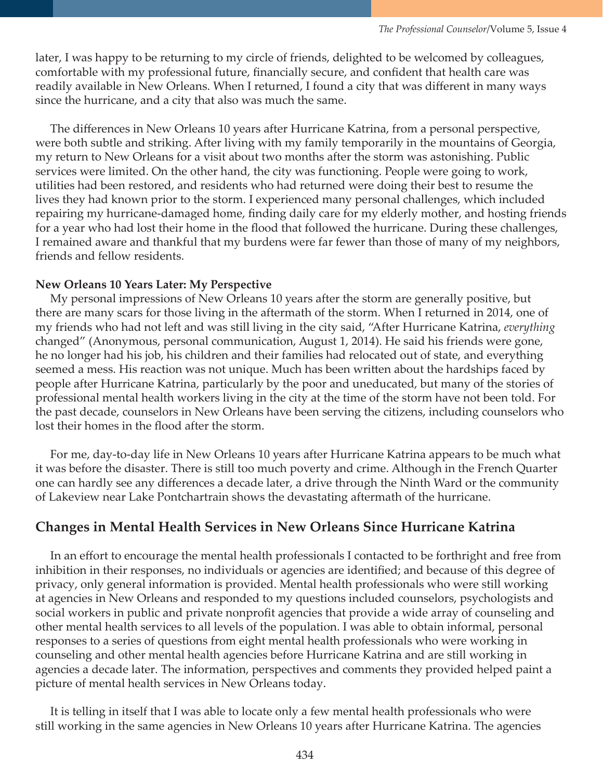later, I was happy to be returning to my circle of friends, delighted to be welcomed by colleagues, comfortable with my professional future, financially secure, and confident that health care was readily available in New Orleans. When I returned, I found a city that was different in many ways since the hurricane, and a city that also was much the same.

 The differences in New Orleans 10 years after Hurricane Katrina, from a personal perspective, were both subtle and striking. After living with my family temporarily in the mountains of Georgia, my return to New Orleans for a visit about two months after the storm was astonishing. Public services were limited. On the other hand, the city was functioning. People were going to work, utilities had been restored, and residents who had returned were doing their best to resume the lives they had known prior to the storm. I experienced many personal challenges, which included repairing my hurricane-damaged home, finding daily care for my elderly mother, and hosting friends for a year who had lost their home in the flood that followed the hurricane. During these challenges, I remained aware and thankful that my burdens were far fewer than those of many of my neighbors, friends and fellow residents.

#### **New Orleans 10 Years Later: My Perspective**

 My personal impressions of New Orleans 10 years after the storm are generally positive, but there are many scars for those living in the aftermath of the storm. When I returned in 2014, one of my friends who had not left and was still living in the city said, "After Hurricane Katrina, *everything* changed" (Anonymous, personal communication, August 1, 2014). He said his friends were gone, he no longer had his job, his children and their families had relocated out of state, and everything seemed a mess. His reaction was not unique. Much has been written about the hardships faced by people after Hurricane Katrina, particularly by the poor and uneducated, but many of the stories of professional mental health workers living in the city at the time of the storm have not been told. For the past decade, counselors in New Orleans have been serving the citizens, including counselors who lost their homes in the flood after the storm.

 For me, day-to-day life in New Orleans 10 years after Hurricane Katrina appears to be much what it was before the disaster. There is still too much poverty and crime. Although in the French Quarter one can hardly see any differences a decade later, a drive through the Ninth Ward or the community of Lakeview near Lake Pontchartrain shows the devastating aftermath of the hurricane.

## **Changes in Mental Health Services in New Orleans Since Hurricane Katrina**

In an effort to encourage the mental health professionals I contacted to be forthright and free from inhibition in their responses, no individuals or agencies are identified; and because of this degree of privacy, only general information is provided. Mental health professionals who were still working at agencies in New Orleans and responded to my questions included counselors, psychologists and social workers in public and private nonprofit agencies that provide a wide array of counseling and other mental health services to all levels of the population. I was able to obtain informal, personal responses to a series of questions from eight mental health professionals who were working in counseling and other mental health agencies before Hurricane Katrina and are still working in agencies a decade later. The information, perspectives and comments they provided helped paint a picture of mental health services in New Orleans today.

 It is telling in itself that I was able to locate only a few mental health professionals who were still working in the same agencies in New Orleans 10 years after Hurricane Katrina. The agencies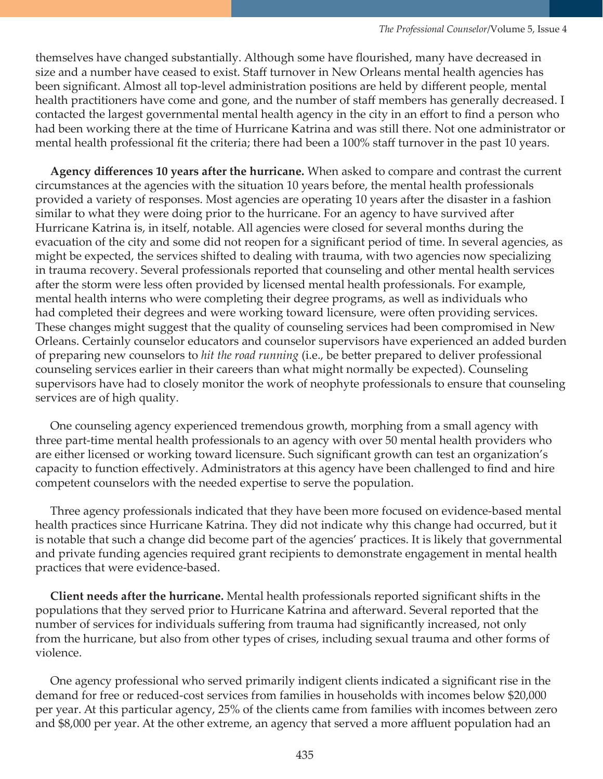themselves have changed substantially. Although some have flourished, many have decreased in size and a number have ceased to exist. Staff turnover in New Orleans mental health agencies has been significant. Almost all top-level administration positions are held by different people, mental health practitioners have come and gone, and the number of staff members has generally decreased. I contacted the largest governmental mental health agency in the city in an effort to find a person who had been working there at the time of Hurricane Katrina and was still there. Not one administrator or mental health professional fit the criteria; there had been a 100% staff turnover in the past 10 years.

 **Agency differences 10 years after the hurricane.** When asked to compare and contrast the current circumstances at the agencies with the situation 10 years before, the mental health professionals provided a variety of responses. Most agencies are operating 10 years after the disaster in a fashion similar to what they were doing prior to the hurricane. For an agency to have survived after Hurricane Katrina is, in itself, notable. All agencies were closed for several months during the evacuation of the city and some did not reopen for a significant period of time. In several agencies, as might be expected, the services shifted to dealing with trauma, with two agencies now specializing in trauma recovery. Several professionals reported that counseling and other mental health services after the storm were less often provided by licensed mental health professionals. For example, mental health interns who were completing their degree programs, as well as individuals who had completed their degrees and were working toward licensure, were often providing services. These changes might suggest that the quality of counseling services had been compromised in New Orleans. Certainly counselor educators and counselor supervisors have experienced an added burden of preparing new counselors to *hit the road running* (i.e., be better prepared to deliver professional counseling services earlier in their careers than what might normally be expected). Counseling supervisors have had to closely monitor the work of neophyte professionals to ensure that counseling services are of high quality.

 One counseling agency experienced tremendous growth, morphing from a small agency with three part-time mental health professionals to an agency with over 50 mental health providers who are either licensed or working toward licensure. Such significant growth can test an organization's capacity to function effectively. Administrators at this agency have been challenged to find and hire competent counselors with the needed expertise to serve the population.

 Three agency professionals indicated that they have been more focused on evidence-based mental health practices since Hurricane Katrina. They did not indicate why this change had occurred, but it is notable that such a change did become part of the agencies' practices. It is likely that governmental and private funding agencies required grant recipients to demonstrate engagement in mental health practices that were evidence-based.

 **Client needs after the hurricane.** Mental health professionals reported significant shifts in the populations that they served prior to Hurricane Katrina and afterward. Several reported that the number of services for individuals suffering from trauma had significantly increased, not only from the hurricane, but also from other types of crises, including sexual trauma and other forms of violence.

 One agency professional who served primarily indigent clients indicated a significant rise in the demand for free or reduced-cost services from families in households with incomes below \$20,000 per year. At this particular agency, 25% of the clients came from families with incomes between zero and \$8,000 per year. At the other extreme, an agency that served a more affluent population had an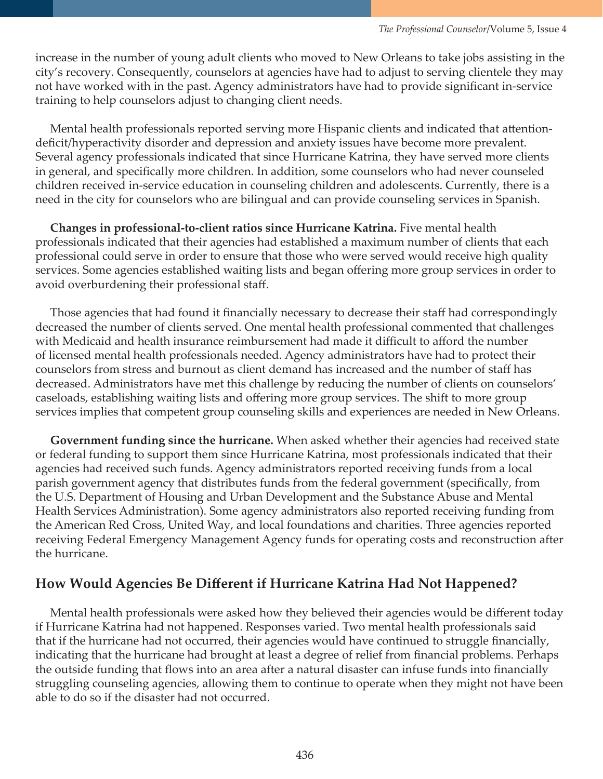increase in the number of young adult clients who moved to New Orleans to take jobs assisting in the city's recovery. Consequently, counselors at agencies have had to adjust to serving clientele they may not have worked with in the past. Agency administrators have had to provide significant in-service training to help counselors adjust to changing client needs.

 Mental health professionals reported serving more Hispanic clients and indicated that attentiondeficit/hyperactivity disorder and depression and anxiety issues have become more prevalent. Several agency professionals indicated that since Hurricane Katrina, they have served more clients in general, and specifically more children. In addition, some counselors who had never counseled children received in-service education in counseling children and adolescents. Currently, there is a need in the city for counselors who are bilingual and can provide counseling services in Spanish.

 **Changes in professional-to-client ratios since Hurricane Katrina.** Five mental health professionals indicated that their agencies had established a maximum number of clients that each professional could serve in order to ensure that those who were served would receive high quality services. Some agencies established waiting lists and began offering more group services in order to avoid overburdening their professional staff.

 Those agencies that had found it financially necessary to decrease their staff had correspondingly decreased the number of clients served. One mental health professional commented that challenges with Medicaid and health insurance reimbursement had made it difficult to afford the number of licensed mental health professionals needed. Agency administrators have had to protect their counselors from stress and burnout as client demand has increased and the number of staff has decreased. Administrators have met this challenge by reducing the number of clients on counselors' caseloads, establishing waiting lists and offering more group services. The shift to more group services implies that competent group counseling skills and experiences are needed in New Orleans.

 **Government funding since the hurricane.** When asked whether their agencies had received state or federal funding to support them since Hurricane Katrina, most professionals indicated that their agencies had received such funds. Agency administrators reported receiving funds from a local parish government agency that distributes funds from the federal government (specifically, from the U.S. Department of Housing and Urban Development and the Substance Abuse and Mental Health Services Administration). Some agency administrators also reported receiving funding from the American Red Cross, United Way, and local foundations and charities. Three agencies reported receiving Federal Emergency Management Agency funds for operating costs and reconstruction after the hurricane.

## **How Would Agencies Be Different if Hurricane Katrina Had Not Happened?**

 Mental health professionals were asked how they believed their agencies would be different today if Hurricane Katrina had not happened. Responses varied. Two mental health professionals said that if the hurricane had not occurred, their agencies would have continued to struggle financially, indicating that the hurricane had brought at least a degree of relief from financial problems. Perhaps the outside funding that flows into an area after a natural disaster can infuse funds into financially struggling counseling agencies, allowing them to continue to operate when they might not have been able to do so if the disaster had not occurred.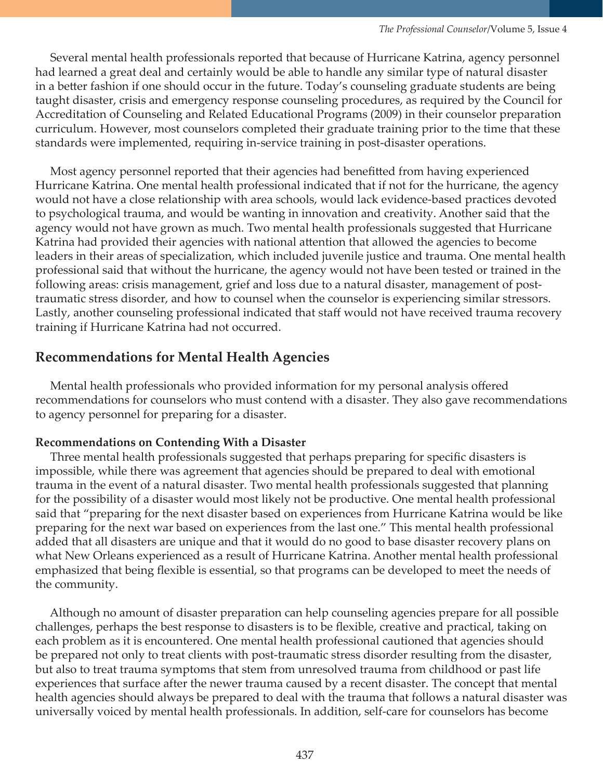Several mental health professionals reported that because of Hurricane Katrina, agency personnel had learned a great deal and certainly would be able to handle any similar type of natural disaster in a better fashion if one should occur in the future. Today's counseling graduate students are being taught disaster, crisis and emergency response counseling procedures, as required by the Council for Accreditation of Counseling and Related Educational Programs (2009) in their counselor preparation curriculum. However, most counselors completed their graduate training prior to the time that these standards were implemented, requiring in-service training in post-disaster operations.

 Most agency personnel reported that their agencies had benefitted from having experienced Hurricane Katrina. One mental health professional indicated that if not for the hurricane, the agency would not have a close relationship with area schools, would lack evidence-based practices devoted to psychological trauma, and would be wanting in innovation and creativity. Another said that the agency would not have grown as much. Two mental health professionals suggested that Hurricane Katrina had provided their agencies with national attention that allowed the agencies to become leaders in their areas of specialization, which included juvenile justice and trauma. One mental health professional said that without the hurricane, the agency would not have been tested or trained in the following areas: crisis management, grief and loss due to a natural disaster, management of posttraumatic stress disorder, and how to counsel when the counselor is experiencing similar stressors. Lastly, another counseling professional indicated that staff would not have received trauma recovery training if Hurricane Katrina had not occurred.

## **Recommendations for Mental Health Agencies**

 Mental health professionals who provided information for my personal analysis offered recommendations for counselors who must contend with a disaster. They also gave recommendations to agency personnel for preparing for a disaster.

#### **Recommendations on Contending With a Disaster**

 Three mental health professionals suggested that perhaps preparing for specific disasters is impossible, while there was agreement that agencies should be prepared to deal with emotional trauma in the event of a natural disaster. Two mental health professionals suggested that planning for the possibility of a disaster would most likely not be productive. One mental health professional said that "preparing for the next disaster based on experiences from Hurricane Katrina would be like preparing for the next war based on experiences from the last one." This mental health professional added that all disasters are unique and that it would do no good to base disaster recovery plans on what New Orleans experienced as a result of Hurricane Katrina. Another mental health professional emphasized that being flexible is essential, so that programs can be developed to meet the needs of the community.

 Although no amount of disaster preparation can help counseling agencies prepare for all possible challenges, perhaps the best response to disasters is to be flexible, creative and practical, taking on each problem as it is encountered. One mental health professional cautioned that agencies should be prepared not only to treat clients with post-traumatic stress disorder resulting from the disaster, but also to treat trauma symptoms that stem from unresolved trauma from childhood or past life experiences that surface after the newer trauma caused by a recent disaster. The concept that mental health agencies should always be prepared to deal with the trauma that follows a natural disaster was universally voiced by mental health professionals. In addition, self-care for counselors has become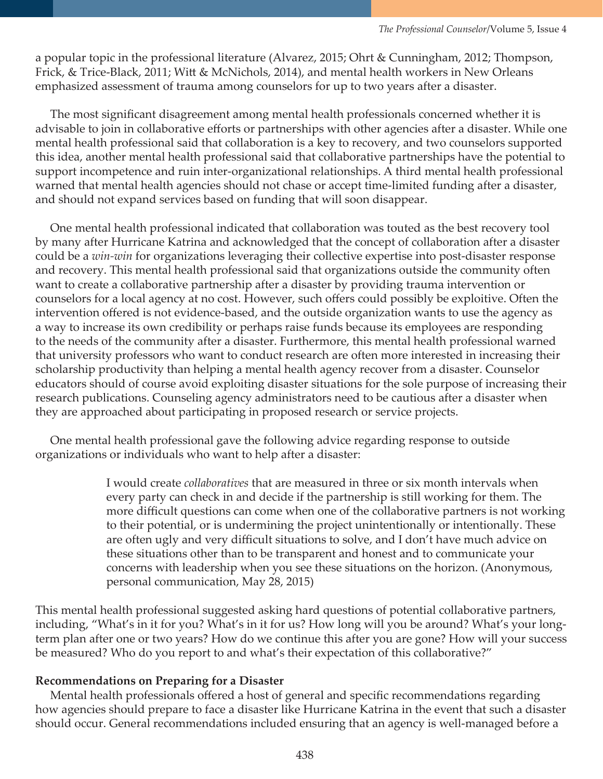a popular topic in the professional literature (Alvarez, 2015; Ohrt & Cunningham, 2012; Thompson, Frick, & Trice-Black, 2011; Witt & McNichols, 2014), and mental health workers in New Orleans emphasized assessment of trauma among counselors for up to two years after a disaster.

 The most significant disagreement among mental health professionals concerned whether it is advisable to join in collaborative efforts or partnerships with other agencies after a disaster. While one mental health professional said that collaboration is a key to recovery, and two counselors supported this idea, another mental health professional said that collaborative partnerships have the potential to support incompetence and ruin inter-organizational relationships. A third mental health professional warned that mental health agencies should not chase or accept time-limited funding after a disaster, and should not expand services based on funding that will soon disappear.

 One mental health professional indicated that collaboration was touted as the best recovery tool by many after Hurricane Katrina and acknowledged that the concept of collaboration after a disaster could be a *win-win* for organizations leveraging their collective expertise into post-disaster response and recovery. This mental health professional said that organizations outside the community often want to create a collaborative partnership after a disaster by providing trauma intervention or counselors for a local agency at no cost. However, such offers could possibly be exploitive. Often the intervention offered is not evidence-based, and the outside organization wants to use the agency as a way to increase its own credibility or perhaps raise funds because its employees are responding to the needs of the community after a disaster. Furthermore, this mental health professional warned that university professors who want to conduct research are often more interested in increasing their scholarship productivity than helping a mental health agency recover from a disaster. Counselor educators should of course avoid exploiting disaster situations for the sole purpose of increasing their research publications. Counseling agency administrators need to be cautious after a disaster when they are approached about participating in proposed research or service projects.

 One mental health professional gave the following advice regarding response to outside organizations or individuals who want to help after a disaster:

> I would create *collaboratives* that are measured in three or six month intervals when every party can check in and decide if the partnership is still working for them. The more difficult questions can come when one of the collaborative partners is not working to their potential, or is undermining the project unintentionally or intentionally. These are often ugly and very difficult situations to solve, and I don't have much advice on these situations other than to be transparent and honest and to communicate your concerns with leadership when you see these situations on the horizon. (Anonymous, personal communication, May 28, 2015)

This mental health professional suggested asking hard questions of potential collaborative partners, including, "What's in it for you? What's in it for us? How long will you be around? What's your longterm plan after one or two years? How do we continue this after you are gone? How will your success be measured? Who do you report to and what's their expectation of this collaborative?"

#### **Recommendations on Preparing for a Disaster**

 Mental health professionals offered a host of general and specific recommendations regarding how agencies should prepare to face a disaster like Hurricane Katrina in the event that such a disaster should occur. General recommendations included ensuring that an agency is well-managed before a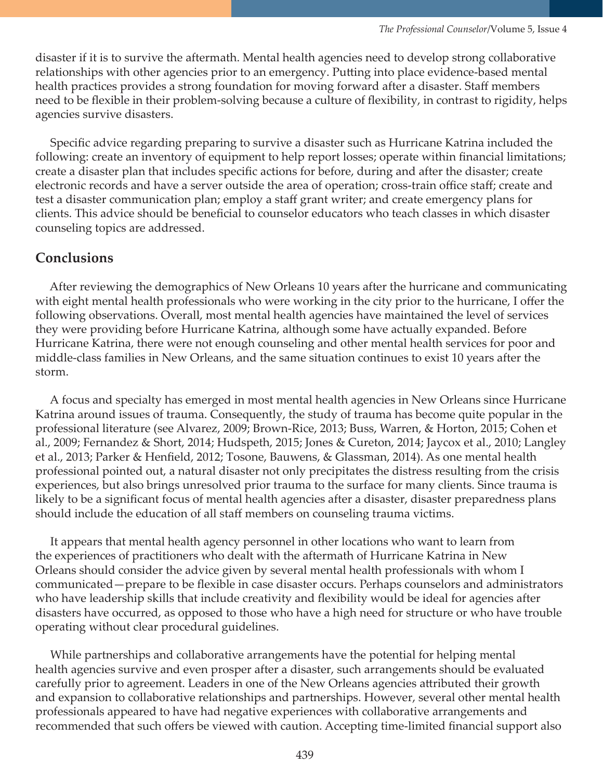disaster if it is to survive the aftermath. Mental health agencies need to develop strong collaborative relationships with other agencies prior to an emergency. Putting into place evidence-based mental health practices provides a strong foundation for moving forward after a disaster. Staff members need to be flexible in their problem-solving because a culture of flexibility, in contrast to rigidity, helps agencies survive disasters.

 Specific advice regarding preparing to survive a disaster such as Hurricane Katrina included the following: create an inventory of equipment to help report losses; operate within financial limitations; create a disaster plan that includes specific actions for before, during and after the disaster; create electronic records and have a server outside the area of operation; cross-train office staff; create and test a disaster communication plan; employ a staff grant writer; and create emergency plans for clients. This advice should be beneficial to counselor educators who teach classes in which disaster counseling topics are addressed.

### **Conclusions**

 After reviewing the demographics of New Orleans 10 years after the hurricane and communicating with eight mental health professionals who were working in the city prior to the hurricane, I offer the following observations. Overall, most mental health agencies have maintained the level of services they were providing before Hurricane Katrina, although some have actually expanded. Before Hurricane Katrina, there were not enough counseling and other mental health services for poor and middle-class families in New Orleans, and the same situation continues to exist 10 years after the storm.

 A focus and specialty has emerged in most mental health agencies in New Orleans since Hurricane Katrina around issues of trauma. Consequently, the study of trauma has become quite popular in the professional literature (see Alvarez, 2009; Brown-Rice, 2013; Buss, Warren, & Horton, 2015; Cohen et al., 2009; Fernandez & Short, 2014; Hudspeth, 2015; Jones & Cureton, 2014; Jaycox et al., 2010; Langley et al., 2013; Parker & Henfield, 2012; Tosone, Bauwens, & Glassman, 2014). As one mental health professional pointed out, a natural disaster not only precipitates the distress resulting from the crisis experiences, but also brings unresolved prior trauma to the surface for many clients. Since trauma is likely to be a significant focus of mental health agencies after a disaster, disaster preparedness plans should include the education of all staff members on counseling trauma victims.

 It appears that mental health agency personnel in other locations who want to learn from the experiences of practitioners who dealt with the aftermath of Hurricane Katrina in New Orleans should consider the advice given by several mental health professionals with whom I communicated—prepare to be flexible in case disaster occurs. Perhaps counselors and administrators who have leadership skills that include creativity and flexibility would be ideal for agencies after disasters have occurred, as opposed to those who have a high need for structure or who have trouble operating without clear procedural guidelines.

 While partnerships and collaborative arrangements have the potential for helping mental health agencies survive and even prosper after a disaster, such arrangements should be evaluated carefully prior to agreement. Leaders in one of the New Orleans agencies attributed their growth and expansion to collaborative relationships and partnerships. However, several other mental health professionals appeared to have had negative experiences with collaborative arrangements and recommended that such offers be viewed with caution. Accepting time-limited financial support also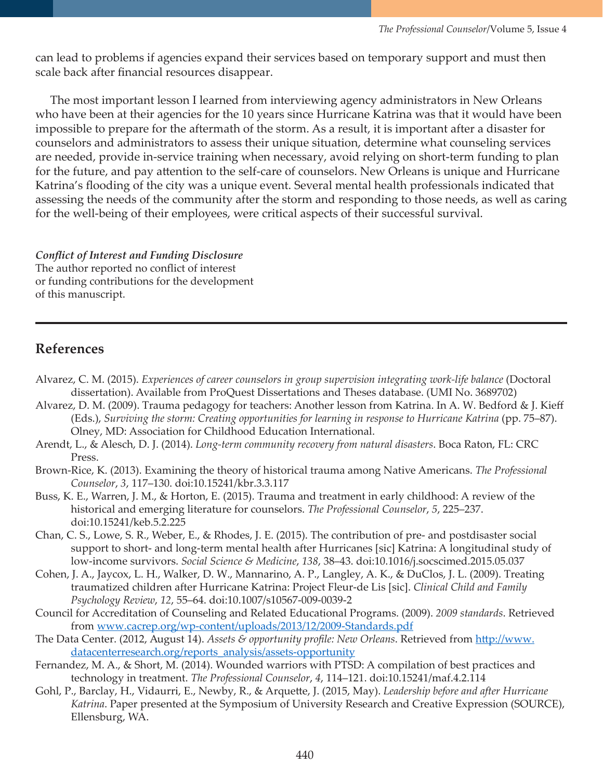can lead to problems if agencies expand their services based on temporary support and must then scale back after financial resources disappear.

 The most important lesson I learned from interviewing agency administrators in New Orleans who have been at their agencies for the 10 years since Hurricane Katrina was that it would have been impossible to prepare for the aftermath of the storm. As a result, it is important after a disaster for counselors and administrators to assess their unique situation, determine what counseling services are needed, provide in-service training when necessary, avoid relying on short-term funding to plan for the future, and pay attention to the self-care of counselors. New Orleans is unique and Hurricane Katrina's flooding of the city was a unique event. Several mental health professionals indicated that assessing the needs of the community after the storm and responding to those needs, as well as caring for the well-being of their employees, were critical aspects of their successful survival.

*Conflict of Interest and Funding Disclosure*  The author reported no conflict of interest or funding contributions for the development of this manuscript.

# **References**

- Alvarez, C. M. (2015). *Experiences of career counselors in group supervision integrating work-life balance* (Doctoral dissertation). Available from ProQuest Dissertations and Theses database. (UMI No. 3689702)
- Alvarez, D. M. (2009). Trauma pedagogy for teachers: Another lesson from Katrina. In A. W. Bedford & J. Kieff (Eds.), *Surviving the storm: Creating opportunities for learning in response to Hurricane Katrina* (pp. 75–87). Olney, MD: Association for Childhood Education International.
- Arendt, L., & Alesch, D. J. (2014). *Long-term community recovery from natural disasters*. Boca Raton, FL: CRC Press.
- Brown-Rice, K. (2013). Examining the theory of historical trauma among Native Americans. *The Professional Counselor*, *3*, 117–130. doi:10.15241/kbr.3.3.117
- Buss, K. E., Warren, J. M., & Horton, E. (2015). Trauma and treatment in early childhood: A review of the historical and emerging literature for counselors. *The Professional Counselor*, *5*, 225–237. doi:10.15241/keb.5.2.225
- Chan, C. S., Lowe, S. R., Weber, E., & Rhodes, J. E. (2015). The contribution of pre- and postdisaster social support to short- and long-term mental health after Hurricanes [sic] Katrina: A longitudinal study of low-income survivors. *Social Science & Medicine*, *138*, 38–43. doi:10.1016/j.socscimed.2015.05.037
- Cohen, J. A., Jaycox, L. H., Walker, D. W., Mannarino, A. P., Langley, A. K., & DuClos, J. L. (2009). Treating traumatized children after Hurricane Katrina: Project Fleur-de Lis [sic]. *Clinical Child and Family Psychology Review*, *12*, 55–64. doi:10.1007/s10567-009-0039-2
- Council for Accreditation of Counseling and Related Educational Programs. (2009). *2009 standards*. Retrieved from [www.cacrep.org/wp-content/uploads/2013/12/2009-Standards.pdf](http://www.cacrep.org/wp-content/uploads/2013/12/2009-Standards.pdf)
- The Data Center. (2012, August 14). *Assets & opportunity profile: New Orleans*. Retrieved from [http://www.](http://www.datacenterresearch.org/reports_analysis/assets-opportunity) [datacenterresearch.org/reports\\_analysis/assets-opportunity](http://www.datacenterresearch.org/reports_analysis/assets-opportunity)
- Fernandez, M. A., & Short, M. (2014). Wounded warriors with PTSD: A compilation of best practices and technology in treatment. *The Professional Counselor*, *4*, 114–121. doi:10.15241/maf.4.2.114
- Gohl, P., Barclay, H., Vidaurri, E., Newby, R., & Arquette, J. (2015, May). *Leadership before and after Hurricane Katrina*. Paper presented at the Symposium of University Research and Creative Expression (SOURCE), Ellensburg, WA.